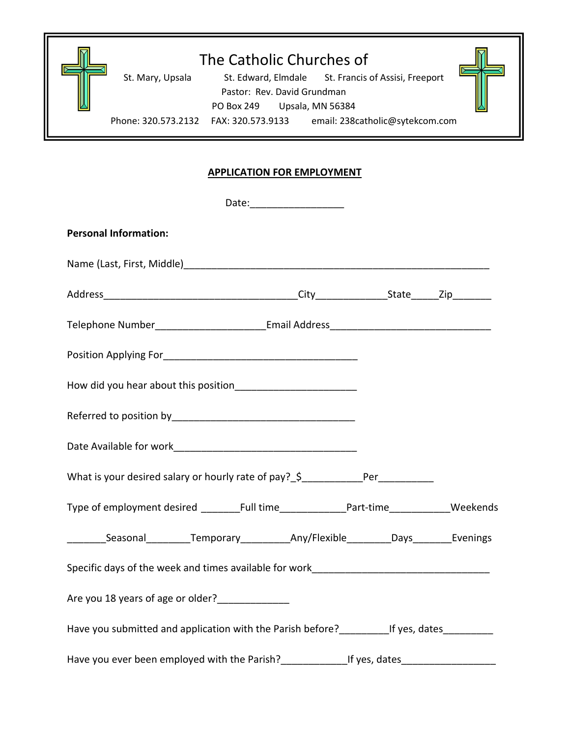

## **APPLICATION FOR EMPLOYMENT**

|                                                                                                      | Date:_______________________ |  |
|------------------------------------------------------------------------------------------------------|------------------------------|--|
| <b>Personal Information:</b>                                                                         |                              |  |
|                                                                                                      |                              |  |
|                                                                                                      |                              |  |
| Telephone Number___________________________Email Address_________________________                    |                              |  |
|                                                                                                      |                              |  |
|                                                                                                      |                              |  |
|                                                                                                      |                              |  |
|                                                                                                      |                              |  |
| What is your desired salary or hourly rate of pay? \$______________Per___________                    |                              |  |
| Type of employment desired _______Full time______________Part-time____________Weekends               |                              |  |
| ___________Seasonal___________Temporary_____________Any/Flexible__________Days__________Evenings     |                              |  |
|                                                                                                      |                              |  |
| Are you 18 years of age or older?                                                                    |                              |  |
| Have you submitted and application with the Parish before?_____________If yes, dates______________   |                              |  |
| Have you ever been employed with the Parish?_________________If yes, dates__________________________ |                              |  |